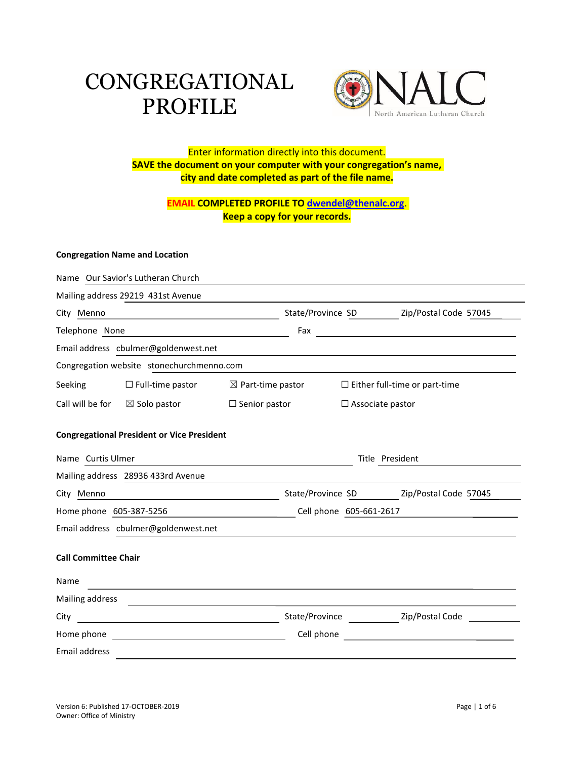# CONGREGATIONAL PROFILE



# Enter information directly into this document. **SAVE the document on your computer with your congregation's name, city and date completed as part of the file name.**

# **EMAIL COMPLETED PROFILE TO [dwendel@thenalc.org](mailto:dwendel@thenalc.org)**. **Keep a copy for your records.**

#### **Congregation Name and Location**

|                                                                         | Name Our Savior's Lutheran Church                                |                              |                                         |                         |                                      |  |  |  |  |
|-------------------------------------------------------------------------|------------------------------------------------------------------|------------------------------|-----------------------------------------|-------------------------|--------------------------------------|--|--|--|--|
| Mailing address 29219 431st Avenue                                      |                                                                  |                              |                                         |                         |                                      |  |  |  |  |
| City Menno<br><u> 1989 - Johann Barbara, martxa alemaniar a</u>         |                                                                  |                              | State/Province SD Zip/Postal Code 57045 |                         |                                      |  |  |  |  |
| Telephone None                                                          | <u> 1980 - Johann Barbara, martxa alemaniar a</u>                |                              | Fax                                     |                         |                                      |  |  |  |  |
| Email address cbulmer@goldenwest.net                                    |                                                                  |                              |                                         |                         |                                      |  |  |  |  |
| Congregation website stonechurchmenno.com                               |                                                                  |                              |                                         |                         |                                      |  |  |  |  |
| Seeking                                                                 | $\Box$ Full-time pastor                                          | $\boxtimes$ Part-time pastor |                                         |                         | $\Box$ Either full-time or part-time |  |  |  |  |
|                                                                         | Call will be for $\boxtimes$ Solo pastor                         | $\Box$ Senior pastor         |                                         | $\Box$ Associate pastor |                                      |  |  |  |  |
| <b>Congregational President or Vice President</b>                       |                                                                  |                              |                                         |                         |                                      |  |  |  |  |
| Name Curtis Ulmer                                                       |                                                                  |                              | Title President                         |                         |                                      |  |  |  |  |
|                                                                         | Mailing address 28936 433rd Avenue                               |                              |                                         |                         |                                      |  |  |  |  |
| City Menno<br><u> 1980 - Johann Barnett, fransk politiker (d. 1980)</u> |                                                                  |                              | State/Province SD Zip/Postal Code 57045 |                         |                                      |  |  |  |  |
| Home phone 605-387-5256                                                 |                                                                  |                              | Cell phone 605-661-2617                 |                         |                                      |  |  |  |  |
| Email address cbulmer@goldenwest.net                                    |                                                                  |                              |                                         |                         |                                      |  |  |  |  |
| <b>Call Committee Chair</b>                                             |                                                                  |                              |                                         |                         |                                      |  |  |  |  |
| Name                                                                    |                                                                  |                              |                                         |                         |                                      |  |  |  |  |
| Mailing address                                                         |                                                                  |                              |                                         |                         |                                      |  |  |  |  |
| City                                                                    | <u> 1989 - Johann Barbara, martxa eta politikaria (h. 1989).</u> |                              |                                         |                         | State/Province Zip/Postal Code       |  |  |  |  |
| Home phone                                                              |                                                                  |                              | Cell phone                              |                         |                                      |  |  |  |  |
| Email address                                                           |                                                                  |                              |                                         |                         |                                      |  |  |  |  |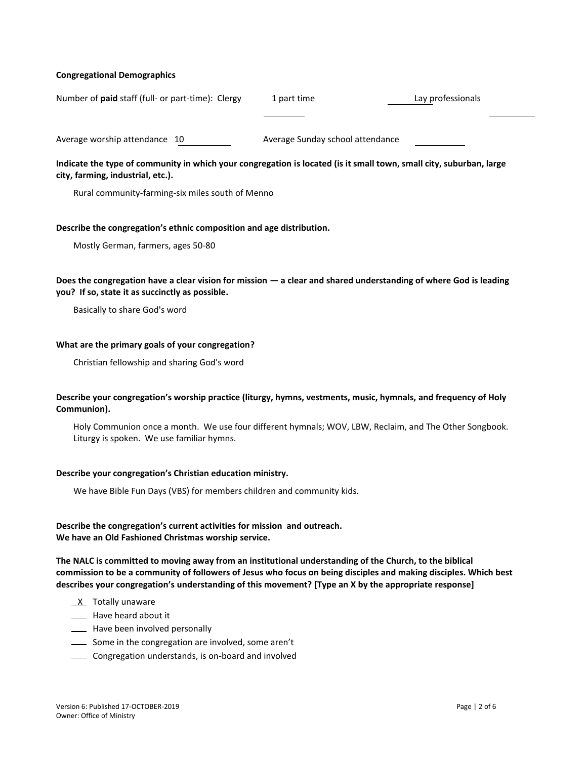#### **Congregational Demographics**

| Number of <b>paid</b> staff (full- or part-time): Clergy | 1 part time                      | Lay professionals |
|----------------------------------------------------------|----------------------------------|-------------------|
|                                                          |                                  |                   |
| Average worship attendance 10                            | Average Sunday school attendance |                   |

### **Indicate the type of community in which your congregation is located (is it small town, small city, suburban, large city, farming, industrial, etc.).**

Rural community-farming-six miles south of Menno

#### **Describe the congregation's ethnic composition and age distribution.**

Mostly German, farmers, ages 50-80

#### **Does the congregation have a clear vision for mission — a clear and shared understanding of where God is leading you? If so, state it as succinctly as possible.**

Basically to share God's word

#### **What are the primary goals of your congregation?**

Christian fellowship and sharing God's word

#### **Describe your congregation's worship practice (liturgy, hymns, vestments, music, hymnals, and frequency of Holy Communion).**

Holy Communion once a month. We use four different hymnals; WOV, LBW, Reclaim, and The Other Songbook. Liturgy is spoken. We use familiar hymns.

#### **Describe your congregation's Christian education ministry.**

We have Bible Fun Days (VBS) for members children and community kids.

#### **Describe the congregation's current activities for mission and outreach. We have an Old Fashioned Christmas worship service.**

**The NALC is committed to moving away from an institutional understanding of the Church, to the biblical commission to be a community of followers of Jesus who focus on being disciples and making disciples. Which best describes your congregation's understanding of this movement? [Type an X by the appropriate response]**

- $X$  Totally unaware
- **IFF** Have heard about it
- **Example 20** Have been involved personally
- Some in the congregation are involved, some aren't
- Congregation understands, is on-board and involved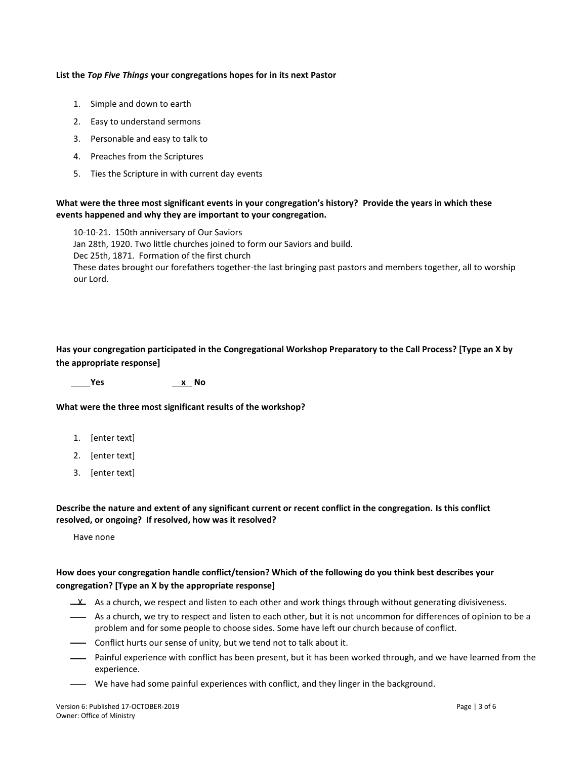#### **List the** *Top Five Things* **your congregations hopes for in its next Pastor**

- 1. Simple and down to earth
- 2. Easy to understand sermons
- 3. Personable and easy to talk to
- 4. Preaches from the Scriptures
- 5. Ties the Scripture in with current day events

#### **What were the three most significant events in your congregation's history? Provide the years in which these events happened and why they are important to your congregation.**

10-10-21. 150th anniversary of Our Saviors Jan 28th, 1920. Two little churches joined to form our Saviors and build. Dec 25th, 1871. Formation of the first church These dates brought our forefathers together-the last bringing past pastors and members together, all to worship our Lord.

# **Has your congregation participated in the Congregational Workshop Preparatory to the Call Process? [Type an X by the appropriate response]**

 **Yes x No**

**What were the three most significant results of the workshop?**

- 1. [enter text]
- 2. [enter text]
- 3. [enter text]

#### **Describe the nature and extent of any significant current or recent conflict in the congregation. Is this conflict resolved, or ongoing? If resolved, how was it resolved?**

Have none

# **How does your congregation handle conflict/tension? Which of the following do you think best describes your congregation? [Type an X by the appropriate response]**

- $\perp$  As a church, we respect and listen to each other and work things through without generating divisiveness.
- As a church, we try to respect and listen to each other, but it is not uncommon for differences of opinion to be a problem and for some people to choose sides. Some have left our church because of conflict.
- **Conflict hurts our sense of unity, but we tend not to talk about it.**
- Painful experience with conflict has been present, but it has been worked through, and we have learned from the experience.
- We have had some painful experiences with conflict, and they linger in the background.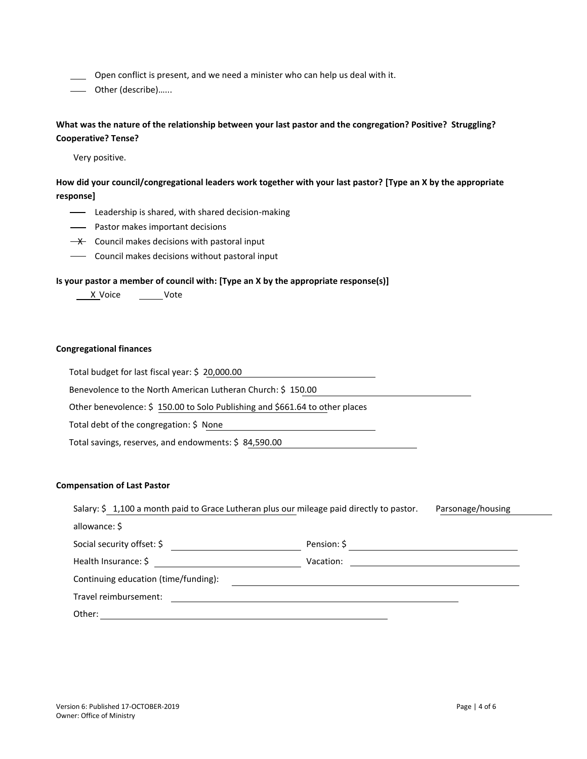Open conflict is present, and we need a minister who can help us deal with it.

Other (describe)…...

**What was the nature of the relationship between your last pastor and the congregation? Positive? Struggling? Cooperative? Tense?**

Very positive.

**How did your council/congregational leaders work together with your last pastor? [Type an X by the appropriate response]**

- **-** Leadership is shared, with shared decision-making
- Pastor makes important decisions
- $\rightarrow$  Council makes decisions with pastoral input
- **-** Council makes decisions without pastoral input

#### **Is your pastor a member of council with: [Type an X by the appropriate response(s)]**

X Voice \_\_\_\_\_\_Vote

#### **Congregational finances**

Total budget for last fiscal year: \$ 20,000.00

Benevolence to the North American Lutheran Church: \$ 150.00

Other benevolence: \$ 150.00 to Solo Publishing and \$661.64 to other places

Total debt of the congregation: \$ None

Total savings, reserves, and endowments: \$ 84,590.00

#### **Compensation of Last Pastor**

| Salary: \$1,100 a month paid to Grace Lutheran plus our mileage paid directly to pastor. | Parsonage/housing |  |  |
|------------------------------------------------------------------------------------------|-------------------|--|--|
| allowance: \$                                                                            |                   |  |  |
| Social security offset: \$                                                               | Pension: \$       |  |  |
| Health Insurance: \$                                                                     | Vacation:         |  |  |
| Continuing education (time/funding):                                                     |                   |  |  |
| Travel reimbursement:                                                                    |                   |  |  |
| Other:                                                                                   |                   |  |  |